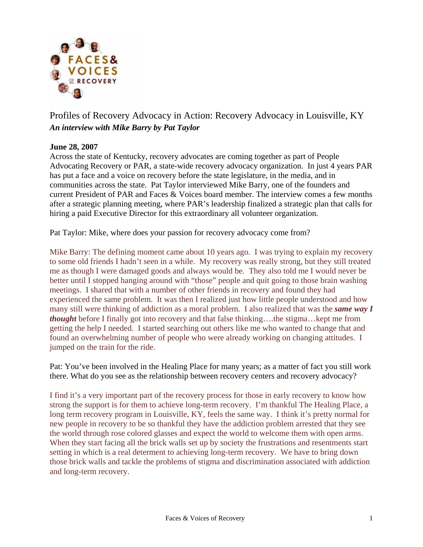

## Profiles of Recovery Advocacy in Action: Recovery Advocacy in Louisville, KY *An interview with Mike Barry by Pat Taylor*

## **June 28, 2007**

Across the state of Kentucky, recovery advocates are coming together as part of People Advocating Recovery or PAR, a state-wide recovery advocacy organization. In just 4 years PAR has put a face and a voice on recovery before the state legislature, in the media, and in communities across the state. Pat Taylor interviewed Mike Barry, one of the founders and current President of PAR and Faces & Voices board member. The interview comes a few months after a strategic planning meeting, where PAR's leadership finalized a strategic plan that calls for hiring a paid Executive Director for this extraordinary all volunteer organization.

Pat Taylor: Mike, where does your passion for recovery advocacy come from?

Mike Barry: The defining moment came about 10 years ago. I was trying to explain my recovery to some old friends I hadn't seen in a while. My recovery was really strong, but they still treated me as though I were damaged goods and always would be. They also told me I would never be better until I stopped hanging around with "those" people and quit going to those brain washing meetings. I shared that with a number of other friends in recovery and found they had experienced the same problem. It was then I realized just how little people understood and how many still were thinking of addiction as a moral problem. I also realized that was the *same way I thought* before I finally got into recovery and that false thinking….the stigma…kept me from getting the help I needed. I started searching out others like me who wanted to change that and found an overwhelming number of people who were already working on changing attitudes. I jumped on the train for the ride.

Pat: You've been involved in the Healing Place for many years; as a matter of fact you still work there. What do you see as the relationship between recovery centers and recovery advocacy?

I find it's a very important part of the recovery process for those in early recovery to know how strong the support is for them to achieve long-term recovery. I'm thankful The Healing Place, a long term recovery program in Louisville, KY, feels the same way. I think it's pretty normal for new people in recovery to be so thankful they have the addiction problem arrested that they see the world through rose colored glasses and expect the world to welcome them with open arms. When they start facing all the brick walls set up by society the frustrations and resentments start setting in which is a real determent to achieving long-term recovery. We have to bring down those brick walls and tackle the problems of stigma and discrimination associated with addiction and long-term recovery.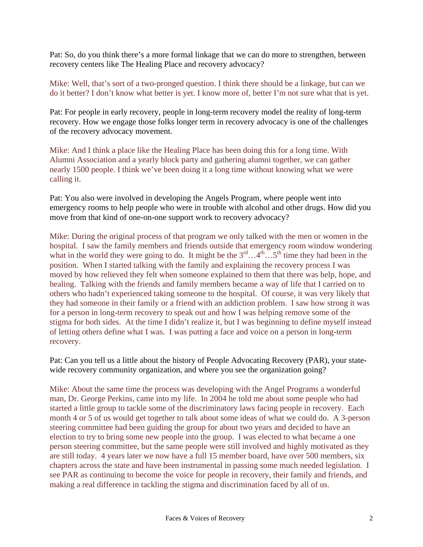Pat: So, do you think there's a more formal linkage that we can do more to strengthen, between recovery centers like The Healing Place and recovery advocacy?

Mike: Well, that's sort of a two-pronged question. I think there should be a linkage, but can we do it better? I don't know what better is yet. I know more of, better I'm not sure what that is yet.

Pat: For people in early recovery, people in long-term recovery model the reality of long-term recovery. How we engage those folks longer term in recovery advocacy is one of the challenges of the recovery advocacy movement.

Mike: And I think a place like the Healing Place has been doing this for a long time. With Alumni Association and a yearly block party and gathering alumni together, we can gather nearly 1500 people. I think we've been doing it a long time without knowing what we were calling it.

Pat: You also were involved in developing the Angels Program, where people went into emergency rooms to help people who were in trouble with alcohol and other drugs. How did you move from that kind of one-on-one support work to recovery advocacy?

Mike: During the original process of that program we only talked with the men or women in the hospital. I saw the family members and friends outside that emergency room window wondering what in the world they were going to do. It might be the  $3^{rd} \dots 4^{th} \dots 5^{th}$  time they had been in the position. When I started talking with the family and explaining the recovery process I was moved by how relieved they felt when someone explained to them that there was help, hope, and healing. Talking with the friends and family members became a way of life that I carried on to others who hadn't experienced taking someone to the hospital. Of course, it was very likely that they had someone in their family or a friend with an addiction problem. I saw how strong it was for a person in long-term recovery to speak out and how I was helping remove some of the stigma for both sides. At the time I didn't realize it, but I was beginning to define myself instead of letting others define what I was. I was putting a face and voice on a person in long-term recovery.

Pat: Can you tell us a little about the history of People Advocating Recovery (PAR), your statewide recovery community organization, and where you see the organization going?

Mike: About the same time the process was developing with the Angel Programs a wonderful man, Dr. George Perkins, came into my life. In 2004 he told me about some people who had started a little group to tackle some of the discriminatory laws facing people in recovery. Each month 4 or 5 of us would get together to talk about some ideas of what we could do. A 3-person steering committee had been guiding the group for about two years and decided to have an election to try to bring some new people into the group. I was elected to what became a one person steering committee, but the same people were still involved and highly motivated as they are still today. 4 years later we now have a full 15 member board, have over 500 members, six chapters across the state and have been instrumental in passing some much needed legislation. I see PAR as continuing to become the voice for people in recovery, their family and friends, and making a real difference in tackling the stigma and discrimination faced by all of us.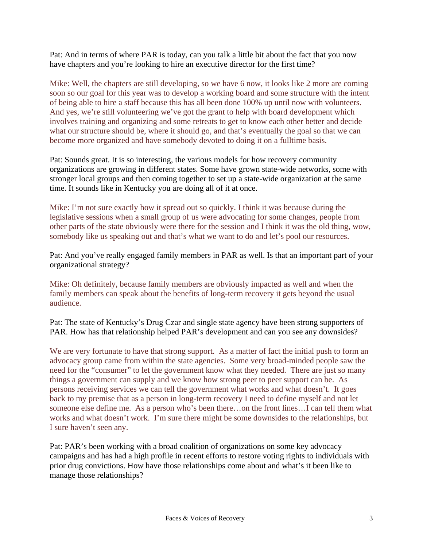Pat: And in terms of where PAR is today, can you talk a little bit about the fact that you now have chapters and you're looking to hire an executive director for the first time?

Mike: Well, the chapters are still developing, so we have 6 now, it looks like 2 more are coming soon so our goal for this year was to develop a working board and some structure with the intent of being able to hire a staff because this has all been done 100% up until now with volunteers. And yes, we're still volunteering we've got the grant to help with board development which involves training and organizing and some retreats to get to know each other better and decide what our structure should be, where it should go, and that's eventually the goal so that we can become more organized and have somebody devoted to doing it on a fulltime basis.

Pat: Sounds great. It is so interesting, the various models for how recovery community organizations are growing in different states. Some have grown state-wide networks, some with stronger local groups and then coming together to set up a state-wide organization at the same time. It sounds like in Kentucky you are doing all of it at once.

Mike: I'm not sure exactly how it spread out so quickly. I think it was because during the legislative sessions when a small group of us were advocating for some changes, people from other parts of the state obviously were there for the session and I think it was the old thing, wow, somebody like us speaking out and that's what we want to do and let's pool our resources.

Pat: And you've really engaged family members in PAR as well. Is that an important part of your organizational strategy?

Mike: Oh definitely, because family members are obviously impacted as well and when the family members can speak about the benefits of long-term recovery it gets beyond the usual audience.

Pat: The state of Kentucky's Drug Czar and single state agency have been strong supporters of PAR. How has that relationship helped PAR's development and can you see any downsides?

We are very fortunate to have that strong support. As a matter of fact the initial push to form an advocacy group came from within the state agencies. Some very broad-minded people saw the need for the "consumer" to let the government know what they needed. There are just so many things a government can supply and we know how strong peer to peer support can be. As persons receiving services we can tell the government what works and what doesn't. It goes back to my premise that as a person in long-term recovery I need to define myself and not let someone else define me. As a person who's been there…on the front lines…I can tell them what works and what doesn't work. I'm sure there might be some downsides to the relationships, but I sure haven't seen any.

Pat: PAR's been working with a broad coalition of organizations on some key advocacy campaigns and has had a high profile in recent efforts to restore voting rights to individuals with prior drug convictions. How have those relationships come about and what's it been like to manage those relationships?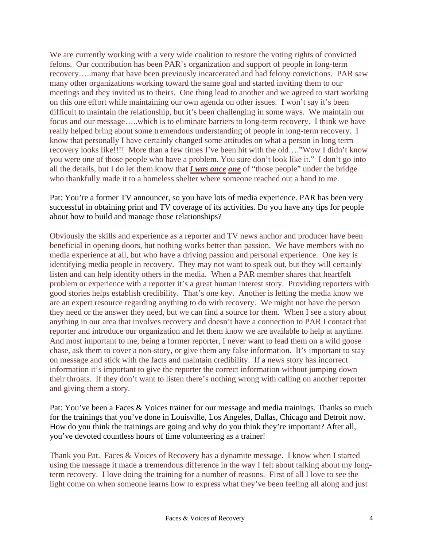We are currently working with a very wide coalition to restore the voting rights of convicted felons. Our contribution has been PAR's organization and support of people in long-term recovery…..many that have been previously incarcerated and had felony convictions. PAR saw many other organizations working toward the same goal and started inviting them to our meetings and they invited us to theirs. One thing lead to another and we agreed to start working on this one effort while maintaining our own agenda on other issues. I won't say it's been difficult to maintain the relationship, but it's been challenging in some ways. We maintain our focus and our message…..which is to eliminate barriers to long-term recovery. I think we have really helped bring about some tremendous understanding of people in long-term recovery. I know that personally I have certainly changed some attitudes on what a person in long term recovery looks like!!!! More than a few times I've been hit with the old…."Wow I didn't know you were one of those people who have a problem. You sure don't look like it." I don't go into all the details, but I do let them know that *I was once one* of "those people" under the bridge who thankfully made it to a homeless shelter where someone reached out a hand to me.

Pat: You're a former TV announcer, so you have lots of media experience. PAR has been very successful in obtaining print and TV coverage of its activities. Do you have any tips for people about how to build and manage those relationships?

Obviously the skills and experience as a reporter and TV news anchor and producer have been beneficial in opening doors, but nothing works better than passion. We have members with no media experience at all, but who have a driving passion and personal experience. One key is identifying media people in recovery. They may not want to speak out, but they will certainly listen and can help identify others in the media. When a PAR member shares that heartfelt problem or experience with a reporter it's a great human interest story. Providing reporters with good stories helps establish credibility. That's one key. Another is letting the media know we are an expert resource regarding anything to do with recovery. We might not have the person they need or the answer they need, but we can find a source for them. When I see a story about anything in our area that involves recovery and doesn't have a connection to PAR I contact that reporter and introduce our organization and let them know we are available to help at anytime. And most important to me, being a former reporter, I never want to lead them on a wild goose chase, ask them to cover a non-story, or give them any false information. It's important to stay on message and stick with the facts and maintain credibility. If a news story has incorrect information it's important to give the reporter the correct information without jumping down their throats. If they don't want to listen there's nothing wrong with calling on another reporter and giving them a story.

Pat: You've been a Faces & Voices trainer for our message and media trainings. Thanks so much for the trainings that you've done in Louisville, Los Angeles, Dallas, Chicago and Detroit now. How do you think the trainings are going and why do you think they're important? After all, you've devoted countless hours of time volunteering as a trainer!

Thank you Pat. Faces & Voices of Recovery has a dynamite message. I know when I started using the message it made a tremendous difference in the way I felt about talking about my longterm recovery. I love doing the training for a number of reasons. First of all I love to see the light come on when someone learns how to express what they've been feeling all along and just